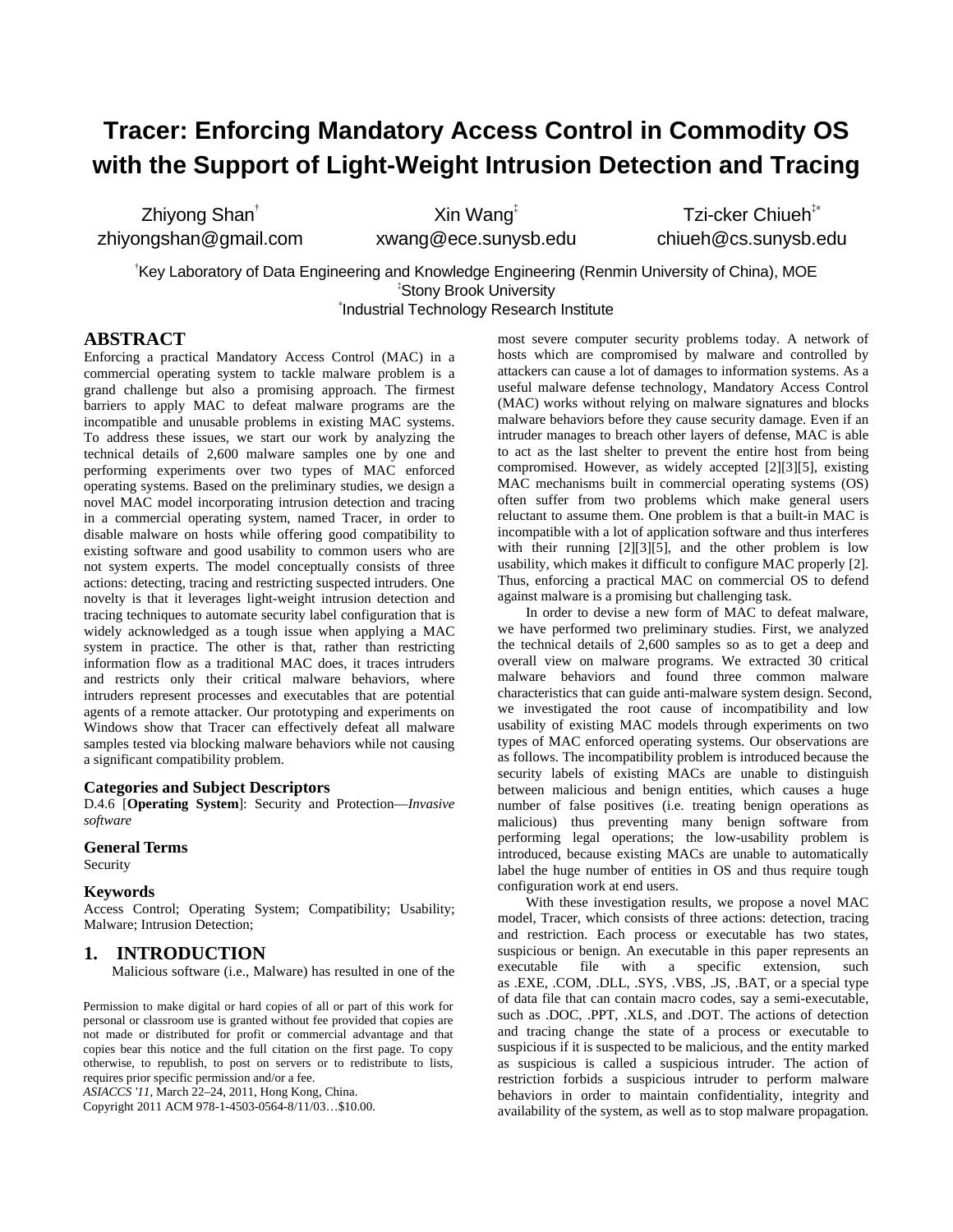# **Tracer: Enforcing Mandatory Access Control in Commodity OS with the Support of Light-Weight Intrusion Detection and Tracing**

Zhiyong Shan† zhiyongshan@gmail.com

Xin Wang‡ xwang@ece.sunysb.edu

Tzi-cker Chiueh<sup>‡\*</sup> chiueh@cs.sunysb.edu

† Key Laboratory of Data Engineering and Knowledge Engineering (Renmin University of China), MOE ‡ Stony Brook University \* Industrial Technology Research Institute

## **ABSTRACT**

Enforcing a practical Mandatory Access Control (MAC) in a commercial operating system to tackle malware problem is a grand challenge but also a promising approach. The firmest barriers to apply MAC to defeat malware programs are the incompatible and unusable problems in existing MAC systems. To address these issues, we start our work by analyzing the technical details of 2,600 malware samples one by one and performing experiments over two types of MAC enforced operating systems. Based on the preliminary studies, we design a novel MAC model incorporating intrusion detection and tracing in a commercial operating system, named Tracer, in order to disable malware on hosts while offering good compatibility to existing software and good usability to common users who are not system experts. The model conceptually consists of three actions: detecting, tracing and restricting suspected intruders. One novelty is that it leverages light-weight intrusion detection and tracing techniques to automate security label configuration that is widely acknowledged as a tough issue when applying a MAC system in practice. The other is that, rather than restricting information flow as a traditional MAC does, it traces intruders and restricts only their critical malware behaviors, where intruders represent processes and executables that are potential agents of a remote attacker. Our prototyping and experiments on Windows show that Tracer can effectively defeat all malware samples tested via blocking malware behaviors while not causing a significant compatibility problem.

#### **Categories and Subject Descriptors**

D.4.6 [**Operating System**]: Security and Protection—*Invasive software* 

#### **General Terms**

Security

#### **Keywords**

Access Control; Operating System; Compatibility; Usability; Malware; Intrusion Detection;

#### **1. INTRODUCTION**

Malicious software (i.e., Malware) has resulted in one of the

Permission to make digital or hard copies of all or part of this work for personal or classroom use is granted without fee provided that copies are not made or distributed for profit or commercial advantage and that copies bear this notice and the full citation on the first page. To copy otherwise, to republish, to post on servers or to redistribute to lists, requires prior specific permission and/or a fee.

*ASIACCS '11*, March 22–24, 2011, Hong Kong, China.

Copyright 2011 ACM 978-1-4503-0564-8/11/03…\$10.00.

most severe computer security problems today. A network of hosts which are compromised by malware and controlled by attackers can cause a lot of damages to information systems. As a useful malware defense technology, Mandatory Access Control (MAC) works without relying on malware signatures and blocks malware behaviors before they cause security damage. Even if an intruder manages to breach other layers of defense, MAC is able to act as the last shelter to prevent the entire host from being compromised. However, as widely accepted [2][3][5], existing MAC mechanisms built in commercial operating systems (OS) often suffer from two problems which make general users reluctant to assume them. One problem is that a built-in MAC is incompatible with a lot of application software and thus interferes with their running [2][3][5], and the other problem is low usability, which makes it difficult to configure MAC properly [2]. Thus, enforcing a practical MAC on commercial OS to defend against malware is a promising but challenging task.

In order to devise a new form of MAC to defeat malware, we have performed two preliminary studies. First, we analyzed the technical details of 2,600 samples so as to get a deep and overall view on malware programs. We extracted 30 critical malware behaviors and found three common malware characteristics that can guide anti-malware system design. Second, we investigated the root cause of incompatibility and low usability of existing MAC models through experiments on two types of MAC enforced operating systems. Our observations are as follows. The incompatibility problem is introduced because the security labels of existing MACs are unable to distinguish between malicious and benign entities, which causes a huge number of false positives (i.e. treating benign operations as malicious) thus preventing many benign software from performing legal operations; the low-usability problem is introduced, because existing MACs are unable to automatically label the huge number of entities in OS and thus require tough configuration work at end users.

With these investigation results, we propose a novel MAC model, Tracer, which consists of three actions: detection, tracing and restriction. Each process or executable has two states, suspicious or benign. An executable in this paper represents an executable file with a specific extension, such as .EXE, .COM, .DLL, .SYS, .VBS, .JS, .BAT, or a special type of data file that can contain macro codes, say a semi-executable, such as .DOC, .PPT, .XLS, and .DOT. The actions of detection and tracing change the state of a process or executable to suspicious if it is suspected to be malicious, and the entity marked as suspicious is called a suspicious intruder. The action of restriction forbids a suspicious intruder to perform malware behaviors in order to maintain confidentiality, integrity and availability of the system, as well as to stop malware propagation.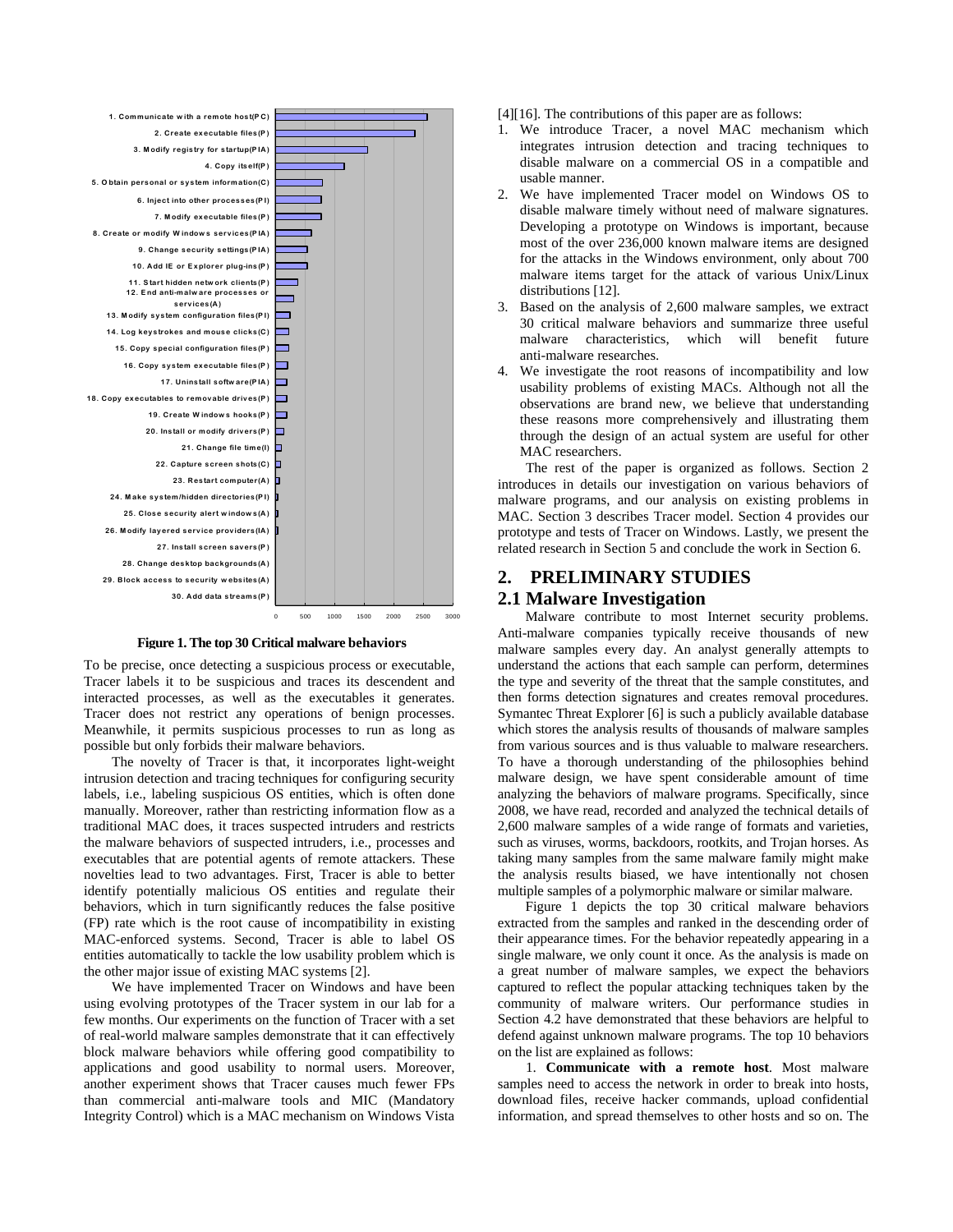

**Figure 1. The top 30 Critical malware behaviors**

To be precise, once detecting a suspicious process or executable, Tracer labels it to be suspicious and traces its descendent and interacted processes, as well as the executables it generates. Tracer does not restrict any operations of benign processes. Meanwhile, it permits suspicious processes to run as long as possible but only forbids their malware behaviors.

The novelty of Tracer is that, it incorporates light-weight intrusion detection and tracing techniques for configuring security labels, i.e., labeling suspicious OS entities, which is often done manually. Moreover, rather than restricting information flow as a traditional MAC does, it traces suspected intruders and restricts the malware behaviors of suspected intruders, i.e., processes and executables that are potential agents of remote attackers. These novelties lead to two advantages. First, Tracer is able to better identify potentially malicious OS entities and regulate their behaviors, which in turn significantly reduces the false positive (FP) rate which is the root cause of incompatibility in existing MAC-enforced systems. Second, Tracer is able to label OS entities automatically to tackle the low usability problem which is the other major issue of existing MAC systems [2].

We have implemented Tracer on Windows and have been using evolving prototypes of the Tracer system in our lab for a few months. Our experiments on the function of Tracer with a set of real-world malware samples demonstrate that it can effectively block malware behaviors while offering good compatibility to applications and good usability to normal users. Moreover, another experiment shows that Tracer causes much fewer FPs than commercial anti-malware tools and MIC (Mandatory Integrity Control) which is a MAC mechanism on Windows Vista

[4][16]. The contributions of this paper are as follows:

- 1. We introduce Tracer, a novel MAC mechanism which integrates intrusion detection and tracing techniques to disable malware on a commercial OS in a compatible and usable manner.
- 2. We have implemented Tracer model on Windows OS to disable malware timely without need of malware signatures. Developing a prototype on Windows is important, because most of the over 236,000 known malware items are designed for the attacks in the Windows environment, only about 700 malware items target for the attack of various Unix/Linux distributions [12].
- 3. Based on the analysis of 2,600 malware samples, we extract 30 critical malware behaviors and summarize three useful malware characteristics, which will benefit future anti-malware researches.
- 4. We investigate the root reasons of incompatibility and low usability problems of existing MACs. Although not all the observations are brand new, we believe that understanding these reasons more comprehensively and illustrating them through the design of an actual system are useful for other MAC researchers.

The rest of the paper is organized as follows. Section 2 introduces in details our investigation on various behaviors of malware programs, and our analysis on existing problems in MAC. Section 3 describes Tracer model. Section 4 provides our prototype and tests of Tracer on Windows. Lastly, we present the related research in Section 5 and conclude the work in Section 6.

## **2. PRELIMINARY STUDIES 2.1 Malware Investigation**

Malware contribute to most Internet security problems. Anti-malware companies typically receive thousands of new malware samples every day. An analyst generally attempts to understand the actions that each sample can perform, determines the type and severity of the threat that the sample constitutes, and then forms detection signatures and creates removal procedures. Symantec Threat Explorer [6] is such a publicly available database which stores the analysis results of thousands of malware samples from various sources and is thus valuable to malware researchers. To have a thorough understanding of the philosophies behind malware design, we have spent considerable amount of time analyzing the behaviors of malware programs. Specifically, since 2008, we have read, recorded and analyzed the technical details of 2,600 malware samples of a wide range of formats and varieties, such as viruses, worms, backdoors, rootkits, and Trojan horses. As taking many samples from the same malware family might make the analysis results biased, we have intentionally not chosen multiple samples of a polymorphic malware or similar malware.

Figure 1 depicts the top 30 critical malware behaviors extracted from the samples and ranked in the descending order of their appearance times. For the behavior repeatedly appearing in a single malware, we only count it once. As the analysis is made on a great number of malware samples, we expect the behaviors captured to reflect the popular attacking techniques taken by the community of malware writers. Our performance studies in Section 4.2 have demonstrated that these behaviors are helpful to defend against unknown malware programs. The top 10 behaviors on the list are explained as follows:

1. **Communicate with a remote host**. Most malware samples need to access the network in order to break into hosts, download files, receive hacker commands, upload confidential information, and spread themselves to other hosts and so on. The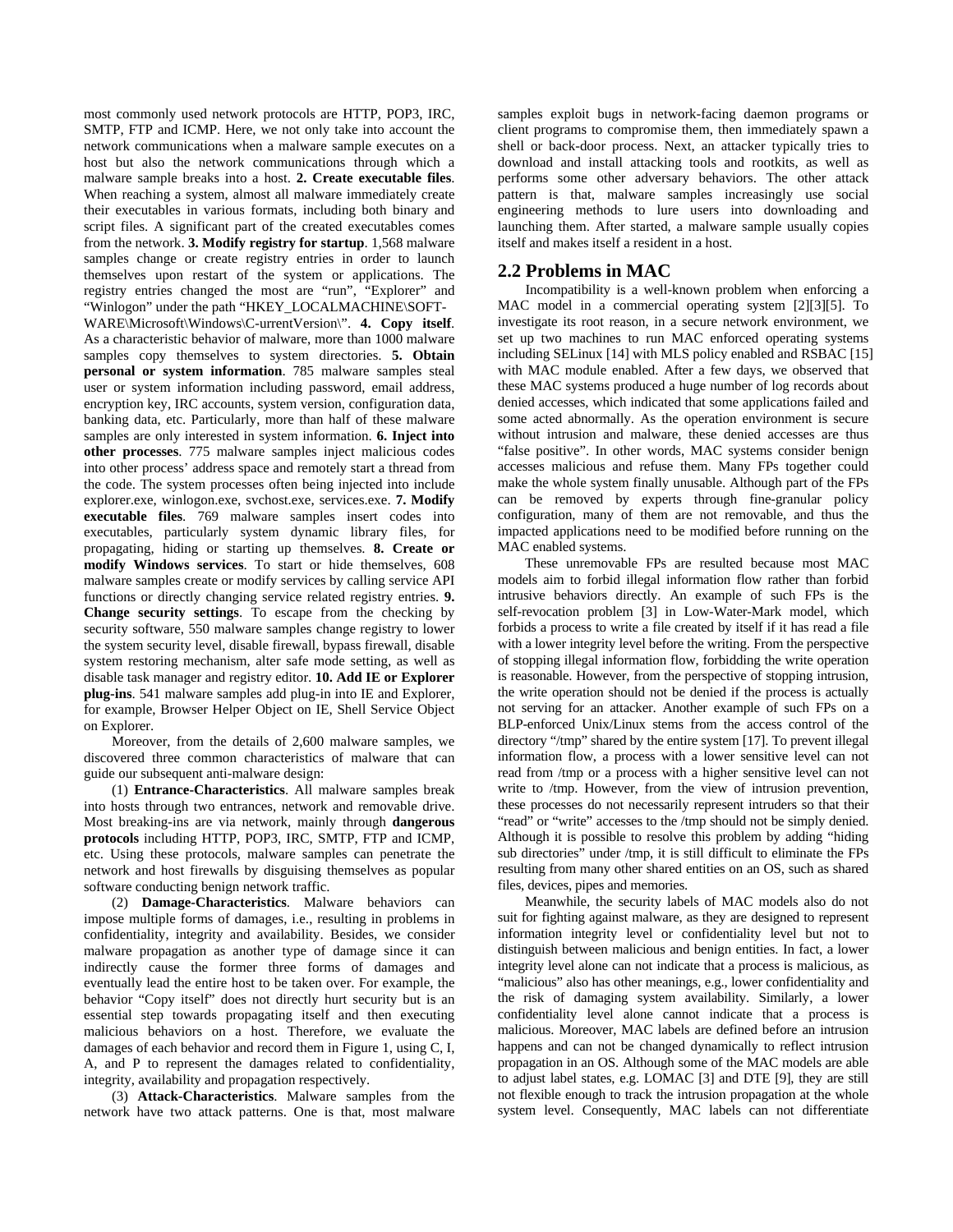most commonly used network protocols are HTTP, POP3, IRC, SMTP, FTP and ICMP. Here, we not only take into account the network communications when a malware sample executes on a host but also the network communications through which a malware sample breaks into a host. **2. Create executable files**. When reaching a system, almost all malware immediately create their executables in various formats, including both binary and script files. A significant part of the created executables comes from the network. **3. Modify registry for startup**. 1,568 malware samples change or create registry entries in order to launch themselves upon restart of the system or applications. The registry entries changed the most are "run", "Explorer" and "Winlogon" under the path "HKEY\_LOCALMACHINE\SOFT-WARE\Microsoft\Windows\C-urrentVersion\". **4. Copy itself**. As a characteristic behavior of malware, more than 1000 malware samples copy themselves to system directories. **5. Obtain personal or system information**. 785 malware samples steal user or system information including password, email address, encryption key, IRC accounts, system version, configuration data, banking data, etc. Particularly, more than half of these malware samples are only interested in system information. **6. Inject into other processes**. 775 malware samples inject malicious codes into other process' address space and remotely start a thread from the code. The system processes often being injected into include explorer.exe, winlogon.exe, svchost.exe, services.exe. **7. Modify executable files**. 769 malware samples insert codes into executables, particularly system dynamic library files, for propagating, hiding or starting up themselves. **8. Create or modify Windows services**. To start or hide themselves, 608 malware samples create or modify services by calling service API functions or directly changing service related registry entries. **9. Change security settings**. To escape from the checking by security software, 550 malware samples change registry to lower the system security level, disable firewall, bypass firewall, disable system restoring mechanism, alter safe mode setting, as well as disable task manager and registry editor. **10. Add IE or Explorer plug-ins**. 541 malware samples add plug-in into IE and Explorer, for example, Browser Helper Object on IE, Shell Service Object on Explorer.

Moreover, from the details of 2,600 malware samples, we discovered three common characteristics of malware that can guide our subsequent anti-malware design:

(1) **Entrance-Characteristics**. All malware samples break into hosts through two entrances, network and removable drive. Most breaking-ins are via network, mainly through **dangerous protocols** including HTTP, POP3, IRC, SMTP, FTP and ICMP, etc. Using these protocols, malware samples can penetrate the network and host firewalls by disguising themselves as popular software conducting benign network traffic.

(2) **Damage-Characteristics**. Malware behaviors can impose multiple forms of damages, i.e., resulting in problems in confidentiality, integrity and availability. Besides, we consider malware propagation as another type of damage since it can indirectly cause the former three forms of damages and eventually lead the entire host to be taken over. For example, the behavior "Copy itself" does not directly hurt security but is an essential step towards propagating itself and then executing malicious behaviors on a host. Therefore, we evaluate the damages of each behavior and record them in Figure 1, using C, I, A, and P to represent the damages related to confidentiality, integrity, availability and propagation respectively.

(3) **Attack-Characteristics**. Malware samples from the network have two attack patterns. One is that, most malware

samples exploit bugs in network-facing daemon programs or client programs to compromise them, then immediately spawn a shell or back-door process. Next, an attacker typically tries to download and install attacking tools and rootkits, as well as performs some other adversary behaviors. The other attack pattern is that, malware samples increasingly use social engineering methods to lure users into downloading and launching them. After started, a malware sample usually copies itself and makes itself a resident in a host.

## **2.2 Problems in MAC**

Incompatibility is a well-known problem when enforcing a MAC model in a commercial operating system [2][3][5]. To investigate its root reason, in a secure network environment, we set up two machines to run MAC enforced operating systems including SELinux [14] with MLS policy enabled and RSBAC [15] with MAC module enabled. After a few days, we observed that these MAC systems produced a huge number of log records about denied accesses, which indicated that some applications failed and some acted abnormally. As the operation environment is secure without intrusion and malware, these denied accesses are thus "false positive". In other words, MAC systems consider benign accesses malicious and refuse them. Many FPs together could make the whole system finally unusable. Although part of the FPs can be removed by experts through fine-granular policy configuration, many of them are not removable, and thus the impacted applications need to be modified before running on the MAC enabled systems.

These unremovable FPs are resulted because most MAC models aim to forbid illegal information flow rather than forbid intrusive behaviors directly. An example of such FPs is the self-revocation problem [3] in Low-Water-Mark model, which forbids a process to write a file created by itself if it has read a file with a lower integrity level before the writing. From the perspective of stopping illegal information flow, forbidding the write operation is reasonable. However, from the perspective of stopping intrusion, the write operation should not be denied if the process is actually not serving for an attacker. Another example of such FPs on a BLP-enforced Unix/Linux stems from the access control of the directory "/tmp" shared by the entire system [17]. To prevent illegal information flow, a process with a lower sensitive level can not read from /tmp or a process with a higher sensitive level can not write to /tmp. However, from the view of intrusion prevention, these processes do not necessarily represent intruders so that their "read" or "write" accesses to the /tmp should not be simply denied. Although it is possible to resolve this problem by adding "hiding sub directories" under /tmp, it is still difficult to eliminate the FPs resulting from many other shared entities on an OS, such as shared files, devices, pipes and memories.

Meanwhile, the security labels of MAC models also do not suit for fighting against malware, as they are designed to represent information integrity level or confidentiality level but not to distinguish between malicious and benign entities. In fact, a lower integrity level alone can not indicate that a process is malicious, as "malicious" also has other meanings, e.g., lower confidentiality and the risk of damaging system availability. Similarly, a lower confidentiality level alone cannot indicate that a process is malicious. Moreover, MAC labels are defined before an intrusion happens and can not be changed dynamically to reflect intrusion propagation in an OS. Although some of the MAC models are able to adjust label states, e.g. LOMAC [3] and DTE [9], they are still not flexible enough to track the intrusion propagation at the whole system level. Consequently, MAC labels can not differentiate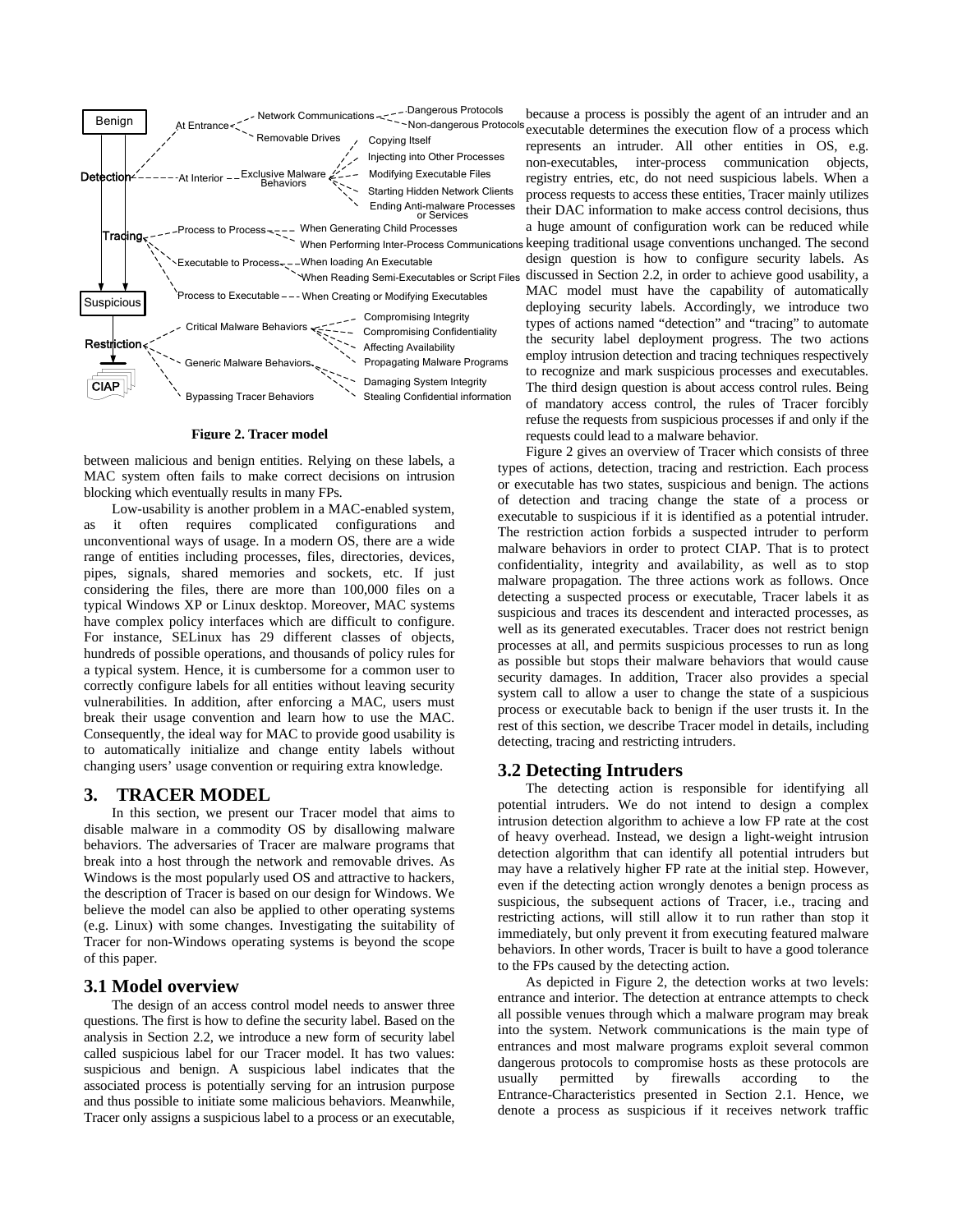

**Figure 2. Tracer model**

between malicious and benign entities. Relying on these labels, a MAC system often fails to make correct decisions on intrusion blocking which eventually results in many FPs.

Low-usability is another problem in a MAC-enabled system, as it often requires complicated configurations and unconventional ways of usage. In a modern OS, there are a wide range of entities including processes, files, directories, devices, pipes, signals, shared memories and sockets, etc. If just considering the files, there are more than 100,000 files on a typical Windows XP or Linux desktop. Moreover, MAC systems have complex policy interfaces which are difficult to configure. For instance, SELinux has 29 different classes of objects, hundreds of possible operations, and thousands of policy rules for a typical system. Hence, it is cumbersome for a common user to correctly configure labels for all entities without leaving security vulnerabilities. In addition, after enforcing a MAC, users must break their usage convention and learn how to use the MAC. Consequently, the ideal way for MAC to provide good usability is to automatically initialize and change entity labels without changing users' usage convention or requiring extra knowledge.

## **3. TRACER MODEL**

In this section, we present our Tracer model that aims to disable malware in a commodity OS by disallowing malware behaviors. The adversaries of Tracer are malware programs that break into a host through the network and removable drives. As Windows is the most popularly used OS and attractive to hackers, the description of Tracer is based on our design for Windows. We believe the model can also be applied to other operating systems (e.g. Linux) with some changes. Investigating the suitability of Tracer for non-Windows operating systems is beyond the scope of this paper.

#### **3.1 Model overview**

The design of an access control model needs to answer three questions. The first is how to define the security label. Based on the analysis in Section 2.2, we introduce a new form of security label called suspicious label for our Tracer model. It has two values: suspicious and benign. A suspicious label indicates that the associated process is potentially serving for an intrusion purpose and thus possible to initiate some malicious behaviors. Meanwhile, Tracer only assigns a suspicious label to a process or an executable,

because a process is possibly the agent of an intruder and an executable determines the execution flow of a process which represents an intruder. All other entities in OS, e.g. non-executables, inter-process communication objects, registry entries, etc, do not need suspicious labels. When a process requests to access these entities, Tracer mainly utilizes their DAC information to make access control decisions, thus a huge amount of configuration work can be reduced while When Performing Inter-Process Communications keeping traditional usage conventions unchanged. The second design question is how to configure security labels. As discussed in Section 2.2, in order to achieve good usability, a MAC model must have the capability of automatically deploying security labels. Accordingly, we introduce two types of actions named "detection" and "tracing" to automate the security label deployment progress. The two actions employ intrusion detection and tracing techniques respectively to recognize and mark suspicious processes and executables. The third design question is about access control rules. Being of mandatory access control, the rules of Tracer forcibly refuse the requests from suspicious processes if and only if the requests could lead to a malware behavior.

Figure 2 gives an overview of Tracer which consists of three types of actions, detection, tracing and restriction. Each process or executable has two states, suspicious and benign. The actions of detection and tracing change the state of a process or executable to suspicious if it is identified as a potential intruder. The restriction action forbids a suspected intruder to perform malware behaviors in order to protect CIAP. That is to protect confidentiality, integrity and availability, as well as to stop malware propagation. The three actions work as follows. Once detecting a suspected process or executable, Tracer labels it as suspicious and traces its descendent and interacted processes, as well as its generated executables. Tracer does not restrict benign processes at all, and permits suspicious processes to run as long as possible but stops their malware behaviors that would cause security damages. In addition, Tracer also provides a special system call to allow a user to change the state of a suspicious process or executable back to benign if the user trusts it. In the rest of this section, we describe Tracer model in details, including detecting, tracing and restricting intruders.

#### **3.2 Detecting Intruders**

The detecting action is responsible for identifying all potential intruders. We do not intend to design a complex intrusion detection algorithm to achieve a low FP rate at the cost of heavy overhead. Instead, we design a light-weight intrusion detection algorithm that can identify all potential intruders but may have a relatively higher FP rate at the initial step. However, even if the detecting action wrongly denotes a benign process as suspicious, the subsequent actions of Tracer, i.e., tracing and restricting actions, will still allow it to run rather than stop it immediately, but only prevent it from executing featured malware behaviors. In other words, Tracer is built to have a good tolerance to the FPs caused by the detecting action.

As depicted in Figure 2, the detection works at two levels: entrance and interior. The detection at entrance attempts to check all possible venues through which a malware program may break into the system. Network communications is the main type of entrances and most malware programs exploit several common dangerous protocols to compromise hosts as these protocols are usually permitted by firewalls according to the Entrance-Characteristics presented in Section 2.1. Hence, we denote a process as suspicious if it receives network traffic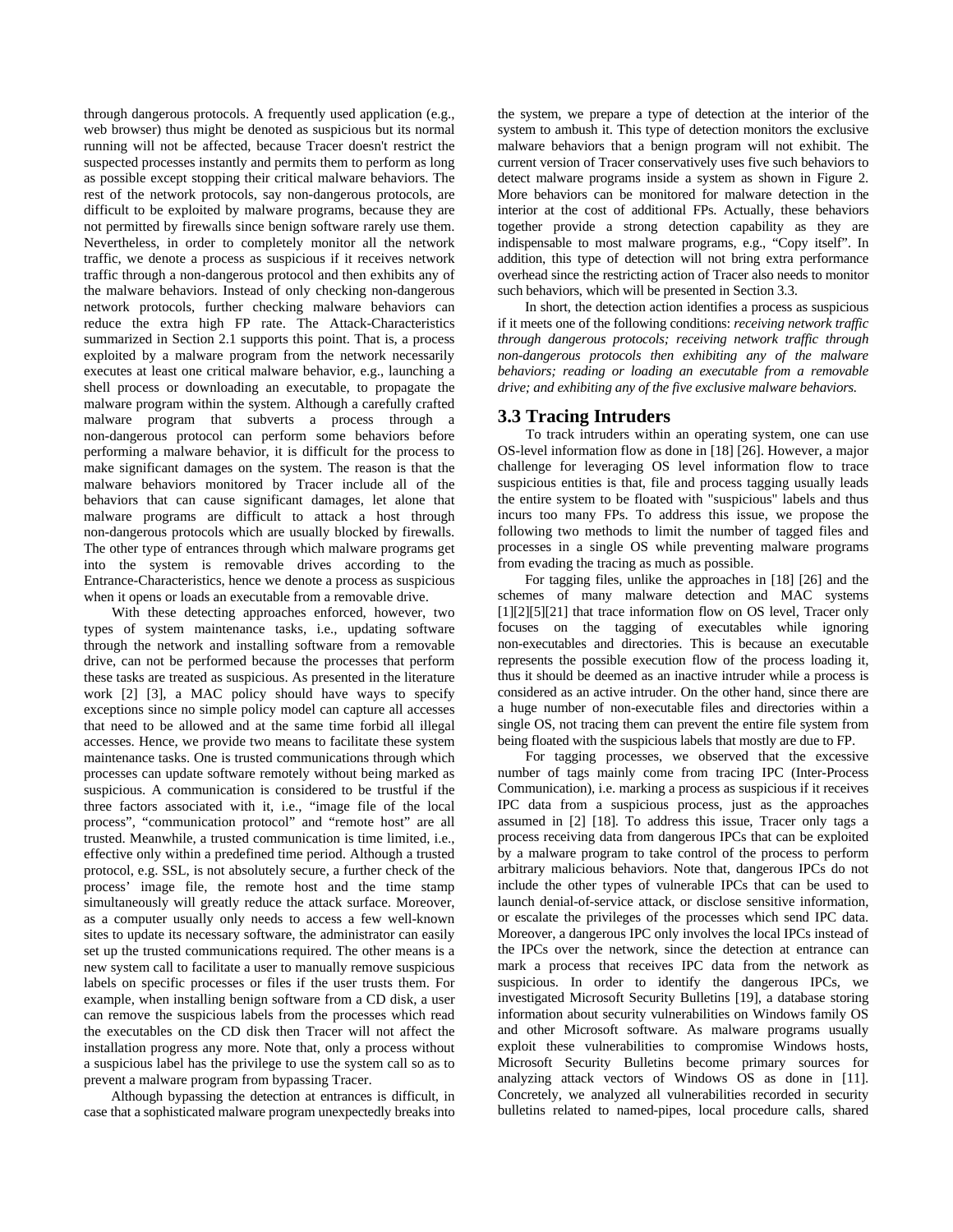through dangerous protocols. A frequently used application (e.g., web browser) thus might be denoted as suspicious but its normal running will not be affected, because Tracer doesn't restrict the suspected processes instantly and permits them to perform as long as possible except stopping their critical malware behaviors. The rest of the network protocols, say non-dangerous protocols, are difficult to be exploited by malware programs, because they are not permitted by firewalls since benign software rarely use them. Nevertheless, in order to completely monitor all the network traffic, we denote a process as suspicious if it receives network traffic through a non-dangerous protocol and then exhibits any of the malware behaviors. Instead of only checking non-dangerous network protocols, further checking malware behaviors can reduce the extra high FP rate. The Attack-Characteristics summarized in Section 2.1 supports this point. That is, a process exploited by a malware program from the network necessarily executes at least one critical malware behavior, e.g., launching a shell process or downloading an executable, to propagate the malware program within the system. Although a carefully crafted malware program that subverts a process through a non-dangerous protocol can perform some behaviors before performing a malware behavior, it is difficult for the process to make significant damages on the system. The reason is that the malware behaviors monitored by Tracer include all of the behaviors that can cause significant damages, let alone that malware programs are difficult to attack a host through non-dangerous protocols which are usually blocked by firewalls. The other type of entrances through which malware programs get into the system is removable drives according to the Entrance-Characteristics, hence we denote a process as suspicious when it opens or loads an executable from a removable drive.

With these detecting approaches enforced, however, two types of system maintenance tasks, i.e., updating software through the network and installing software from a removable drive, can not be performed because the processes that perform these tasks are treated as suspicious. As presented in the literature work [2] [3], a MAC policy should have ways to specify exceptions since no simple policy model can capture all accesses that need to be allowed and at the same time forbid all illegal accesses. Hence, we provide two means to facilitate these system maintenance tasks. One is trusted communications through which processes can update software remotely without being marked as suspicious. A communication is considered to be trustful if the three factors associated with it, i.e., "image file of the local process", "communication protocol" and "remote host" are all trusted. Meanwhile, a trusted communication is time limited, i.e., effective only within a predefined time period. Although a trusted protocol, e.g. SSL, is not absolutely secure, a further check of the process' image file, the remote host and the time stamp simultaneously will greatly reduce the attack surface. Moreover, as a computer usually only needs to access a few well-known sites to update its necessary software, the administrator can easily set up the trusted communications required. The other means is a new system call to facilitate a user to manually remove suspicious labels on specific processes or files if the user trusts them. For example, when installing benign software from a CD disk, a user can remove the suspicious labels from the processes which read the executables on the CD disk then Tracer will not affect the installation progress any more. Note that, only a process without a suspicious label has the privilege to use the system call so as to prevent a malware program from bypassing Tracer.

Although bypassing the detection at entrances is difficult, in case that a sophisticated malware program unexpectedly breaks into

the system, we prepare a type of detection at the interior of the system to ambush it. This type of detection monitors the exclusive malware behaviors that a benign program will not exhibit. The current version of Tracer conservatively uses five such behaviors to detect malware programs inside a system as shown in Figure 2. More behaviors can be monitored for malware detection in the interior at the cost of additional FPs. Actually, these behaviors together provide a strong detection capability as they are indispensable to most malware programs, e.g., "Copy itself". In addition, this type of detection will not bring extra performance overhead since the restricting action of Tracer also needs to monitor such behaviors, which will be presented in Section 3.3.

In short, the detection action identifies a process as suspicious if it meets one of the following conditions: *receiving network traffic through dangerous protocols; receiving network traffic through non-dangerous protocols then exhibiting any of the malware behaviors; reading or loading an executable from a removable drive; and exhibiting any of the five exclusive malware behaviors.*

## **3.3 Tracing Intruders**

To track intruders within an operating system, one can use OS-level information flow as done in [18] [26]. However, a major challenge for leveraging OS level information flow to trace suspicious entities is that, file and process tagging usually leads the entire system to be floated with "suspicious" labels and thus incurs too many FPs. To address this issue, we propose the following two methods to limit the number of tagged files and processes in a single OS while preventing malware programs from evading the tracing as much as possible.

For tagging files, unlike the approaches in [18] [26] and the schemes of many malware detection and MAC systems [1][2][5][21] that trace information flow on OS level, Tracer only focuses on the tagging of executables while ignoring non-executables and directories. This is because an executable represents the possible execution flow of the process loading it, thus it should be deemed as an inactive intruder while a process is considered as an active intruder. On the other hand, since there are a huge number of non-executable files and directories within a single OS, not tracing them can prevent the entire file system from being floated with the suspicious labels that mostly are due to FP.

For tagging processes, we observed that the excessive number of tags mainly come from tracing IPC (Inter-Process Communication), i.e. marking a process as suspicious if it receives IPC data from a suspicious process, just as the approaches assumed in [2] [18]. To address this issue, Tracer only tags a process receiving data from dangerous IPCs that can be exploited by a malware program to take control of the process to perform arbitrary malicious behaviors. Note that, dangerous IPCs do not include the other types of vulnerable IPCs that can be used to launch denial-of-service attack, or disclose sensitive information, or escalate the privileges of the processes which send IPC data. Moreover, a dangerous IPC only involves the local IPCs instead of the IPCs over the network, since the detection at entrance can mark a process that receives IPC data from the network as suspicious. In order to identify the dangerous IPCs, we investigated Microsoft Security Bulletins [19], a database storing information about security vulnerabilities on Windows family OS and other Microsoft software. As malware programs usually exploit these vulnerabilities to compromise Windows hosts, Microsoft Security Bulletins become primary sources for analyzing attack vectors of Windows OS as done in [11]. Concretely, we analyzed all vulnerabilities recorded in security bulletins related to named-pipes, local procedure calls, shared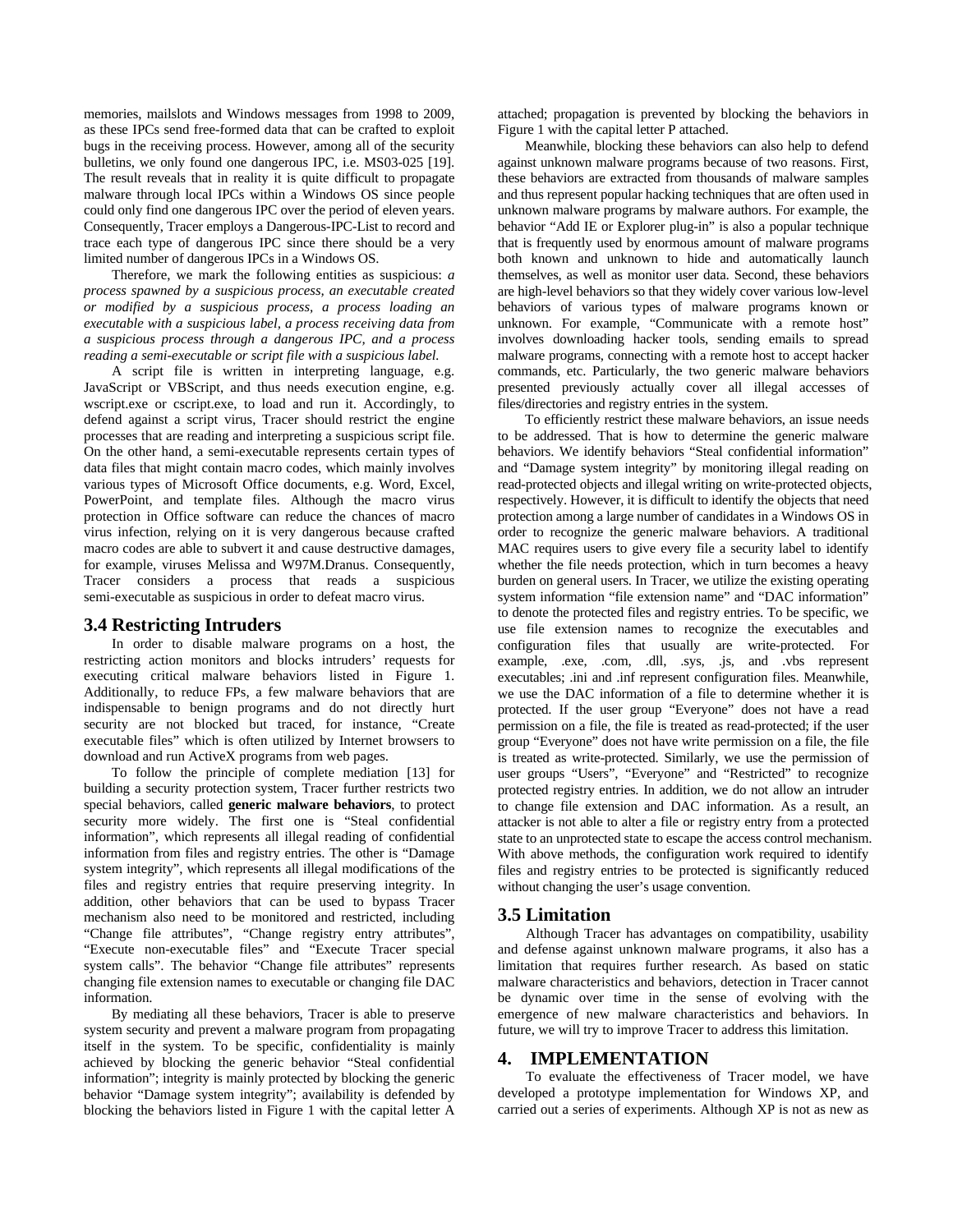memories, mailslots and Windows messages from 1998 to 2009, as these IPCs send free-formed data that can be crafted to exploit bugs in the receiving process. However, among all of the security bulletins, we only found one dangerous IPC, i.e. MS03-025 [19]. The result reveals that in reality it is quite difficult to propagate malware through local IPCs within a Windows OS since people could only find one dangerous IPC over the period of eleven years. Consequently, Tracer employs a Dangerous-IPC-List to record and trace each type of dangerous IPC since there should be a very limited number of dangerous IPCs in a Windows OS.

Therefore, we mark the following entities as suspicious: *a process spawned by a suspicious process, an executable created or modified by a suspicious process, a process loading an executable with a suspicious label, a process receiving data from a suspicious process through a dangerous IPC, and a process reading a semi-executable or script file with a suspicious label.* 

A script file is written in interpreting language, e.g. JavaScript or VBScript, and thus needs execution engine, e.g. wscript.exe or cscript.exe, to load and run it. Accordingly, to defend against a script virus, Tracer should restrict the engine processes that are reading and interpreting a suspicious script file. On the other hand, a semi-executable represents certain types of data files that might contain macro codes, which mainly involves various types of Microsoft Office documents, e.g. Word, Excel, PowerPoint, and template files. Although the macro virus protection in Office software can reduce the chances of macro virus infection, relying on it is very dangerous because crafted macro codes are able to subvert it and cause destructive damages, for example, viruses Melissa and W97M.Dranus. Consequently, Tracer considers a process that reads a suspicious semi-executable as suspicious in order to defeat macro virus.

#### **3.4 Restricting Intruders**

In order to disable malware programs on a host, the restricting action monitors and blocks intruders' requests for executing critical malware behaviors listed in Figure 1. Additionally, to reduce FPs, a few malware behaviors that are indispensable to benign programs and do not directly hurt security are not blocked but traced, for instance, "Create executable files" which is often utilized by Internet browsers to download and run ActiveX programs from web pages.

To follow the principle of complete mediation [13] for building a security protection system, Tracer further restricts two special behaviors, called **generic malware behaviors**, to protect security more widely. The first one is "Steal confidential information", which represents all illegal reading of confidential information from files and registry entries. The other is "Damage system integrity", which represents all illegal modifications of the files and registry entries that require preserving integrity. In addition, other behaviors that can be used to bypass Tracer mechanism also need to be monitored and restricted, including "Change file attributes", "Change registry entry attributes", "Execute non-executable files" and "Execute Tracer special system calls". The behavior "Change file attributes" represents changing file extension names to executable or changing file DAC information.

By mediating all these behaviors, Tracer is able to preserve system security and prevent a malware program from propagating itself in the system. To be specific, confidentiality is mainly achieved by blocking the generic behavior "Steal confidential information"; integrity is mainly protected by blocking the generic behavior "Damage system integrity"; availability is defended by blocking the behaviors listed in Figure 1 with the capital letter A

attached; propagation is prevented by blocking the behaviors in Figure 1 with the capital letter P attached.

Meanwhile, blocking these behaviors can also help to defend against unknown malware programs because of two reasons. First, these behaviors are extracted from thousands of malware samples and thus represent popular hacking techniques that are often used in unknown malware programs by malware authors. For example, the behavior "Add IE or Explorer plug-in" is also a popular technique that is frequently used by enormous amount of malware programs both known and unknown to hide and automatically launch themselves, as well as monitor user data. Second, these behaviors are high-level behaviors so that they widely cover various low-level behaviors of various types of malware programs known or unknown. For example, "Communicate with a remote host" involves downloading hacker tools, sending emails to spread malware programs, connecting with a remote host to accept hacker commands, etc. Particularly, the two generic malware behaviors presented previously actually cover all illegal accesses of files/directories and registry entries in the system.

To efficiently restrict these malware behaviors, an issue needs to be addressed. That is how to determine the generic malware behaviors. We identify behaviors "Steal confidential information" and "Damage system integrity" by monitoring illegal reading on read-protected objects and illegal writing on write-protected objects, respectively. However, it is difficult to identify the objects that need protection among a large number of candidates in a Windows OS in order to recognize the generic malware behaviors. A traditional MAC requires users to give every file a security label to identify whether the file needs protection, which in turn becomes a heavy burden on general users. In Tracer, we utilize the existing operating system information "file extension name" and "DAC information" to denote the protected files and registry entries. To be specific, we use file extension names to recognize the executables and configuration files that usually are write-protected. For example, .exe, .com, .dll, .sys, .js, and .vbs represent executables; .ini and .inf represent configuration files. Meanwhile, we use the DAC information of a file to determine whether it is protected. If the user group "Everyone" does not have a read permission on a file, the file is treated as read-protected; if the user group "Everyone" does not have write permission on a file, the file is treated as write-protected. Similarly, we use the permission of user groups "Users", "Everyone" and "Restricted" to recognize protected registry entries. In addition, we do not allow an intruder to change file extension and DAC information. As a result, an attacker is not able to alter a file or registry entry from a protected state to an unprotected state to escape the access control mechanism. With above methods, the configuration work required to identify files and registry entries to be protected is significantly reduced without changing the user's usage convention.

## **3.5 Limitation**

Although Tracer has advantages on compatibility, usability and defense against unknown malware programs, it also has a limitation that requires further research. As based on static malware characteristics and behaviors, detection in Tracer cannot be dynamic over time in the sense of evolving with the emergence of new malware characteristics and behaviors. In future, we will try to improve Tracer to address this limitation.

#### **4. IMPLEMENTATION**

To evaluate the effectiveness of Tracer model, we have developed a prototype implementation for Windows XP, and carried out a series of experiments. Although XP is not as new as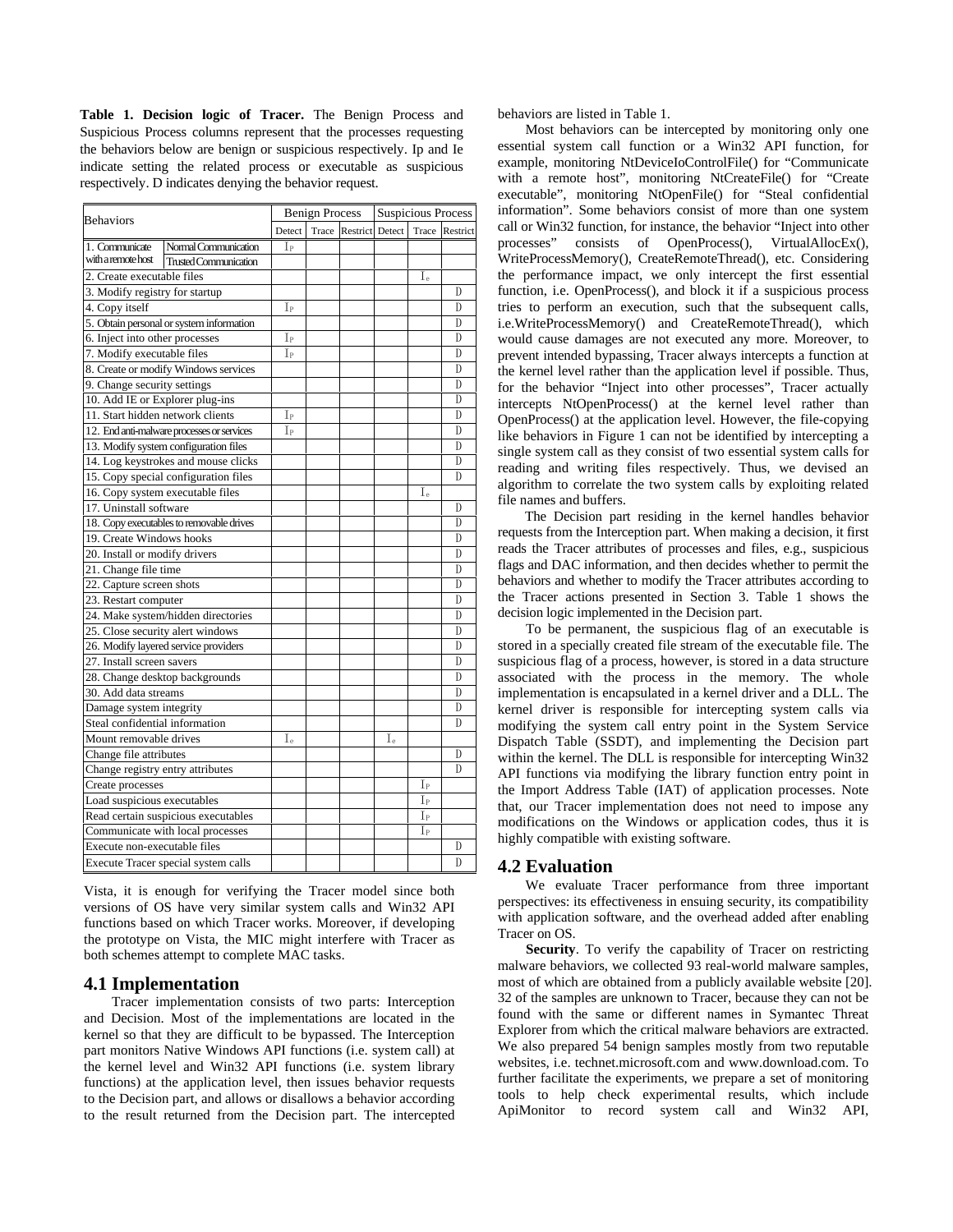**Table 1. Decision logic of Tracer.** The Benign Process and Suspicious Process columns represent that the processes requesting the behaviors below are benign or suspicious respectively. Ip and Ie indicate setting the related process or executable as suspicious respectively. D indicates denying the behavior request.

| Behaviors<br>Trace Restrict Detect<br>Trace Restrict<br>Detect<br>1. Communicate<br>Normal Communication<br>Iр<br>with a remote host<br><b>Trusted Communication</b><br>$\overline{I}_e$<br>2. Create executable files<br>3. Modify registry for startup<br>$I_{\rm P}$<br>4. Copy itself<br>5. Obtain personal or system information | D<br>D<br>D<br>D<br>D |
|---------------------------------------------------------------------------------------------------------------------------------------------------------------------------------------------------------------------------------------------------------------------------------------------------------------------------------------|-----------------------|
|                                                                                                                                                                                                                                                                                                                                       |                       |
|                                                                                                                                                                                                                                                                                                                                       |                       |
|                                                                                                                                                                                                                                                                                                                                       |                       |
|                                                                                                                                                                                                                                                                                                                                       |                       |
|                                                                                                                                                                                                                                                                                                                                       |                       |
|                                                                                                                                                                                                                                                                                                                                       |                       |
|                                                                                                                                                                                                                                                                                                                                       |                       |
| $I_{P}$<br>6. Inject into other processes                                                                                                                                                                                                                                                                                             |                       |
| $I_{\rm P}$<br>7. Modify executable files                                                                                                                                                                                                                                                                                             |                       |
| 8. Create or modify Windows services                                                                                                                                                                                                                                                                                                  | D                     |
| 9. Change security settings                                                                                                                                                                                                                                                                                                           | D                     |
| 10. Add IE or Explorer plug-ins                                                                                                                                                                                                                                                                                                       | D                     |
| 11. Start hidden network clients<br>$I_{\rm P}$                                                                                                                                                                                                                                                                                       | D                     |
| 12. End anti-malware processes or services<br>$I_{\rm P}$                                                                                                                                                                                                                                                                             | D                     |
| 13. Modify system configuration files                                                                                                                                                                                                                                                                                                 | D                     |
| 14. Log keystrokes and mouse clicks                                                                                                                                                                                                                                                                                                   | D                     |
| 15. Copy special configuration files                                                                                                                                                                                                                                                                                                  | D                     |
| $I_{e}$<br>16. Copy system executable files                                                                                                                                                                                                                                                                                           |                       |
| 17. Uninstall software                                                                                                                                                                                                                                                                                                                | D                     |
| 18. Copy executables to removable drives                                                                                                                                                                                                                                                                                              | D                     |
| 19. Create Windows hooks                                                                                                                                                                                                                                                                                                              | D                     |
| 20. Install or modify drivers                                                                                                                                                                                                                                                                                                         | D                     |
| 21. Change file time                                                                                                                                                                                                                                                                                                                  | D                     |
| 22. Capture screen shots                                                                                                                                                                                                                                                                                                              | D                     |
| 23. Restart computer                                                                                                                                                                                                                                                                                                                  | D                     |
| 24. Make system/hidden directories                                                                                                                                                                                                                                                                                                    | D                     |
| 25. Close security alert windows                                                                                                                                                                                                                                                                                                      | D                     |
| 26. Modify layered service providers                                                                                                                                                                                                                                                                                                  | D                     |
| 27. Install screen savers                                                                                                                                                                                                                                                                                                             | D                     |
| 28. Change desktop backgrounds                                                                                                                                                                                                                                                                                                        | D                     |
| 30. Add data streams                                                                                                                                                                                                                                                                                                                  | D                     |
| Damage system integrity                                                                                                                                                                                                                                                                                                               | D                     |
| Steal confidential information                                                                                                                                                                                                                                                                                                        | D                     |
| L,<br>Mount removable drives<br>L.                                                                                                                                                                                                                                                                                                    |                       |
| Change file attributes                                                                                                                                                                                                                                                                                                                | D                     |
| Change registry entry attributes                                                                                                                                                                                                                                                                                                      | D                     |
| Iр<br>Create processes                                                                                                                                                                                                                                                                                                                |                       |
| $I_{P}$<br>Load suspicious executables                                                                                                                                                                                                                                                                                                |                       |
| $I_{\rm P}$<br>Read certain suspicious executables                                                                                                                                                                                                                                                                                    |                       |
| Iр<br>Communicate with local processes                                                                                                                                                                                                                                                                                                |                       |
| Execute non-executable files                                                                                                                                                                                                                                                                                                          | D                     |
| Execute Tracer special system calls                                                                                                                                                                                                                                                                                                   | D                     |

Vista, it is enough for verifying the Tracer model since both versions of OS have very similar system calls and Win32 API functions based on which Tracer works. Moreover, if developing the prototype on Vista, the MIC might interfere with Tracer as both schemes attempt to complete MAC tasks.

#### **4.1 Implementation**

Tracer implementation consists of two parts: Interception and Decision. Most of the implementations are located in the kernel so that they are difficult to be bypassed. The Interception part monitors Native Windows API functions (i.e. system call) at the kernel level and Win32 API functions (i.e. system library functions) at the application level, then issues behavior requests to the Decision part, and allows or disallows a behavior according to the result returned from the Decision part. The intercepted behaviors are listed in Table 1.

Most behaviors can be intercepted by monitoring only one essential system call function or a Win32 API function, for example, monitoring NtDeviceIoControlFile() for "Communicate with a remote host", monitoring NtCreateFile() for "Create executable", monitoring NtOpenFile() for "Steal confidential information". Some behaviors consist of more than one system call or Win32 function, for instance, the behavior "Inject into other processes" consists of OpenProcess(), VirtualAllocEx(), WriteProcessMemory(), CreateRemoteThread(), etc. Considering the performance impact, we only intercept the first essential function, i.e. OpenProcess(), and block it if a suspicious process tries to perform an execution, such that the subsequent calls, i.e.WriteProcessMemory() and CreateRemoteThread(), which would cause damages are not executed any more. Moreover, to prevent intended bypassing, Tracer always intercepts a function at the kernel level rather than the application level if possible. Thus, for the behavior "Inject into other processes", Tracer actually intercepts NtOpenProcess() at the kernel level rather than OpenProcess() at the application level. However, the file-copying like behaviors in Figure 1 can not be identified by intercepting a single system call as they consist of two essential system calls for reading and writing files respectively. Thus, we devised an algorithm to correlate the two system calls by exploiting related file names and buffers.

The Decision part residing in the kernel handles behavior requests from the Interception part. When making a decision, it first reads the Tracer attributes of processes and files, e.g., suspicious flags and DAC information, and then decides whether to permit the behaviors and whether to modify the Tracer attributes according to the Tracer actions presented in Section 3. Table 1 shows the decision logic implemented in the Decision part.

To be permanent, the suspicious flag of an executable is stored in a specially created file stream of the executable file. The suspicious flag of a process, however, is stored in a data structure associated with the process in the memory. The whole implementation is encapsulated in a kernel driver and a DLL. The kernel driver is responsible for intercepting system calls via modifying the system call entry point in the System Service Dispatch Table (SSDT), and implementing the Decision part within the kernel. The DLL is responsible for intercepting Win32 API functions via modifying the library function entry point in the Import Address Table (IAT) of application processes. Note that, our Tracer implementation does not need to impose any modifications on the Windows or application codes, thus it is highly compatible with existing software.

#### **4.2 Evaluation**

We evaluate Tracer performance from three important perspectives: its effectiveness in ensuing security, its compatibility with application software, and the overhead added after enabling Tracer on OS.

**Security**. To verify the capability of Tracer on restricting malware behaviors, we collected 93 real-world malware samples, most of which are obtained from a publicly available website [20]. 32 of the samples are unknown to Tracer, because they can not be found with the same or different names in Symantec Threat Explorer from which the critical malware behaviors are extracted. We also prepared 54 benign samples mostly from two reputable websites, i.e. technet.microsoft.com and www.download.com. To further facilitate the experiments, we prepare a set of monitoring tools to help check experimental results, which include ApiMonitor to record system call and Win32 API,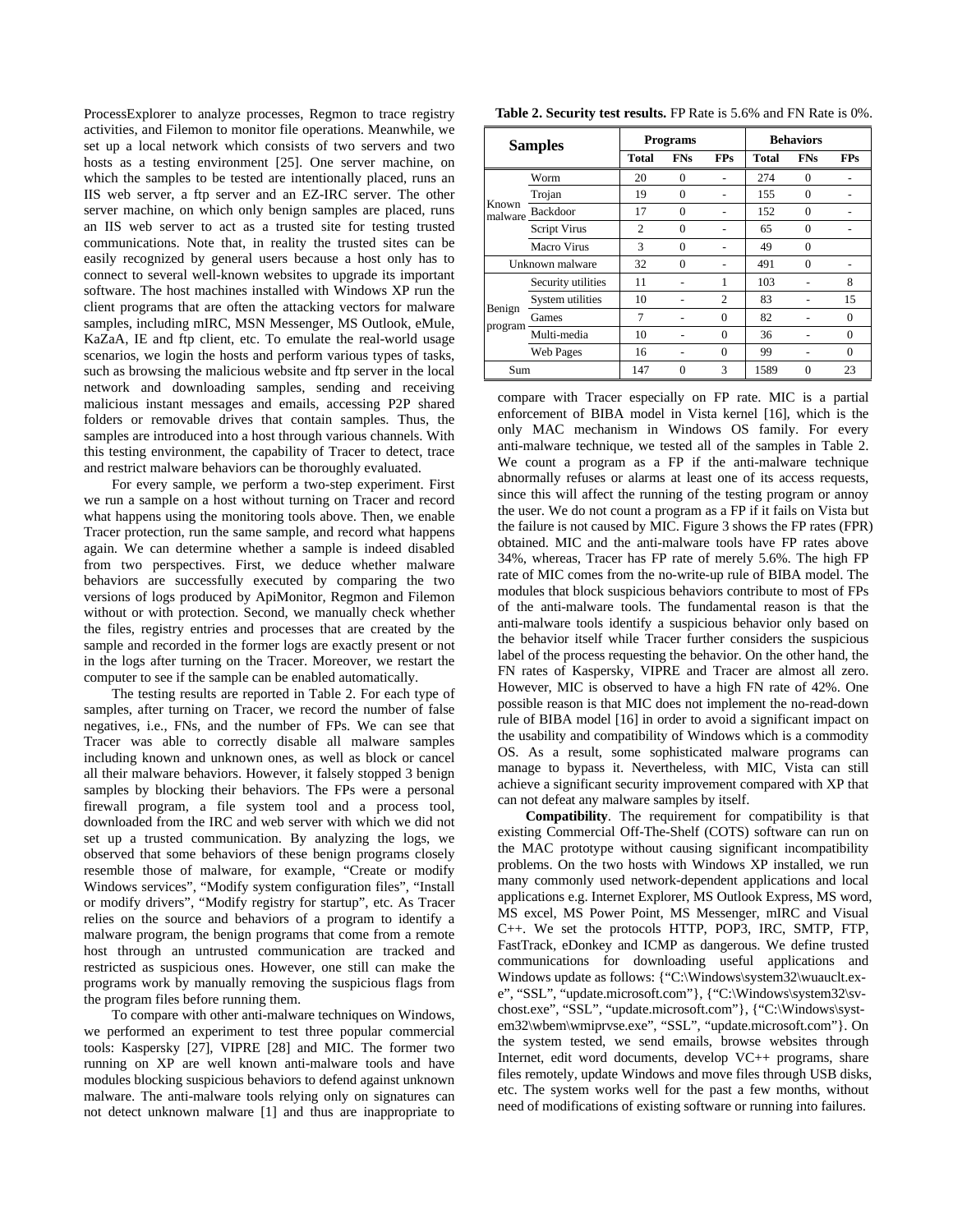ProcessExplorer to analyze processes, Regmon to trace registry activities, and Filemon to monitor file operations. Meanwhile, we set up a local network which consists of two servers and two hosts as a testing environment [25]. One server machine, on which the samples to be tested are intentionally placed, runs an IIS web server, a ftp server and an EZ-IRC server. The other server machine, on which only benign samples are placed, runs an IIS web server to act as a trusted site for testing trusted communications. Note that, in reality the trusted sites can be easily recognized by general users because a host only has to connect to several well-known websites to upgrade its important software. The host machines installed with Windows XP run the client programs that are often the attacking vectors for malware samples, including mIRC, MSN Messenger, MS Outlook, eMule, KaZaA, IE and ftp client, etc. To emulate the real-world usage scenarios, we login the hosts and perform various types of tasks, such as browsing the malicious website and ftp server in the local network and downloading samples, sending and receiving malicious instant messages and emails, accessing P2P shared folders or removable drives that contain samples. Thus, the samples are introduced into a host through various channels. With this testing environment, the capability of Tracer to detect, trace and restrict malware behaviors can be thoroughly evaluated.

For every sample, we perform a two-step experiment. First we run a sample on a host without turning on Tracer and record what happens using the monitoring tools above. Then, we enable Tracer protection, run the same sample, and record what happens again. We can determine whether a sample is indeed disabled from two perspectives. First, we deduce whether malware behaviors are successfully executed by comparing the two versions of logs produced by ApiMonitor, Regmon and Filemon without or with protection. Second, we manually check whether the files, registry entries and processes that are created by the sample and recorded in the former logs are exactly present or not in the logs after turning on the Tracer. Moreover, we restart the computer to see if the sample can be enabled automatically.

The testing results are reported in Table 2. For each type of samples, after turning on Tracer, we record the number of false negatives, i.e., FNs, and the number of FPs. We can see that Tracer was able to correctly disable all malware samples including known and unknown ones, as well as block or cancel all their malware behaviors. However, it falsely stopped 3 benign samples by blocking their behaviors. The FPs were a personal firewall program, a file system tool and a process tool, downloaded from the IRC and web server with which we did not set up a trusted communication. By analyzing the logs, we observed that some behaviors of these benign programs closely resemble those of malware, for example, "Create or modify Windows services", "Modify system configuration files", "Install or modify drivers", "Modify registry for startup", etc. As Tracer relies on the source and behaviors of a program to identify a malware program, the benign programs that come from a remote host through an untrusted communication are tracked and restricted as suspicious ones. However, one still can make the programs work by manually removing the suspicious flags from the program files before running them.

To compare with other anti-malware techniques on Windows, we performed an experiment to test three popular commercial tools: Kaspersky [27], VIPRE [28] and MIC. The former two running on XP are well known anti-malware tools and have modules blocking suspicious behaviors to defend against unknown malware. The anti-malware tools relying only on signatures can not detect unknown malware [1] and thus are inappropriate to

| <b>Table 2. Security test results.</b> FP Rate is 5.6% and FN Rate is 0%. |  |  |  |
|---------------------------------------------------------------------------|--|--|--|
|---------------------------------------------------------------------------|--|--|--|

| <b>Samples</b>    |                    |                | <b>Programs</b> |                | <b>Behaviors</b> |            |            |
|-------------------|--------------------|----------------|-----------------|----------------|------------------|------------|------------|
|                   |                    | Total          | <b>FNs</b>      | <b>FPs</b>     | <b>Total</b>     | <b>FNs</b> | <b>FPs</b> |
| Known<br>malware  | Worm               | 20             | $\Omega$        |                | 274              | 0          |            |
|                   | Trojan             | 19             | $\theta$        |                | 155              | $\theta$   |            |
|                   | Backdoor           | 17             | $\Omega$        |                | 152              | $\theta$   |            |
|                   | Script Virus       | $\overline{c}$ | $\Omega$        |                | 65               | $\theta$   |            |
|                   | Macro Virus        | 3              | $\Omega$        |                | 49               | $\theta$   |            |
| Unknown malware   |                    | 32             | $\theta$        |                | 491              | $\Omega$   |            |
| Benign<br>program | Security utilities | 11             |                 | 1              | 103              |            | 8          |
|                   | System utilities   | 10             |                 | $\overline{c}$ | 83               |            | 15         |
|                   | Games              | 7              |                 | $\theta$       | 82               |            | $\Omega$   |
|                   | Multi-media        | 10             |                 | $\Omega$       | 36               |            | $\Omega$   |
|                   | Web Pages          | 16             |                 | $\theta$       | 99               |            | $\Omega$   |
| Sum               |                    | 147            | $\Omega$        | 3              | 1589             | $\Omega$   | 23         |

compare with Tracer especially on FP rate. MIC is a partial enforcement of BIBA model in Vista kernel [16], which is the only MAC mechanism in Windows OS family. For every anti-malware technique, we tested all of the samples in Table 2. We count a program as a FP if the anti-malware technique abnormally refuses or alarms at least one of its access requests, since this will affect the running of the testing program or annoy the user. We do not count a program as a FP if it fails on Vista but the failure is not caused by MIC. Figure 3 shows the FP rates (FPR) obtained. MIC and the anti-malware tools have FP rates above 34%, whereas, Tracer has FP rate of merely 5.6%. The high FP rate of MIC comes from the no-write-up rule of BIBA model. The modules that block suspicious behaviors contribute to most of FPs of the anti-malware tools. The fundamental reason is that the anti-malware tools identify a suspicious behavior only based on the behavior itself while Tracer further considers the suspicious label of the process requesting the behavior. On the other hand, the FN rates of Kaspersky, VIPRE and Tracer are almost all zero. However, MIC is observed to have a high FN rate of 42%. One possible reason is that MIC does not implement the no-read-down rule of BIBA model [16] in order to avoid a significant impact on the usability and compatibility of Windows which is a commodity OS. As a result, some sophisticated malware programs can manage to bypass it. Nevertheless, with MIC, Vista can still achieve a significant security improvement compared with XP that can not defeat any malware samples by itself.

**Compatibility**. The requirement for compatibility is that existing Commercial Off-The-Shelf (COTS) software can run on the MAC prototype without causing significant incompatibility problems. On the two hosts with Windows XP installed, we run many commonly used network-dependent applications and local applications e.g. Internet Explorer, MS Outlook Express, MS word, MS excel, MS Power Point, MS Messenger, mIRC and Visual C++. We set the protocols HTTP, POP3, IRC, SMTP, FTP, FastTrack, eDonkey and ICMP as dangerous. We define trusted communications for downloading useful applications and Windows update as follows: {"C:\Windows\system32\wuauclt.exe", "SSL", "update.microsoft.com"}, {"C:\Windows\system32\svchost.exe", "SSL", "update.microsoft.com"}, {"C:\Windows\system32\wbem\wmiprvse.exe", "SSL", "update.microsoft.com"}. On the system tested, we send emails, browse websites through Internet, edit word documents, develop VC++ programs, share files remotely, update Windows and move files through USB disks, etc. The system works well for the past a few months, without need of modifications of existing software or running into failures.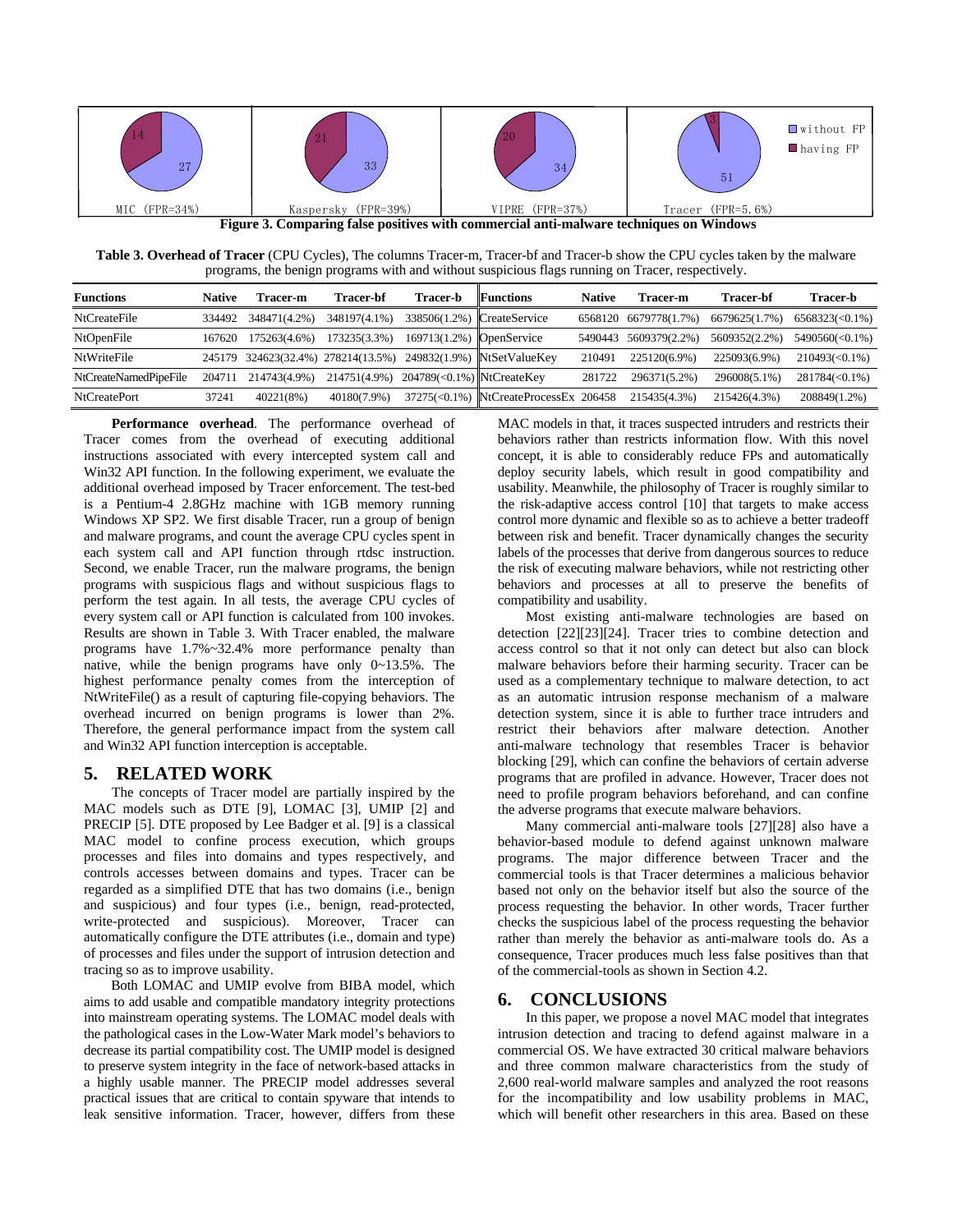

**Figure 3. Comparing false positives with commercial anti-malware techniques on Windows** 

**Table 3. Overhead of Tracer** (CPU Cycles), The columns Tracer-m, Tracer-bf and Tracer-b show the CPU cycles taken by the malware programs, the benign programs with and without suspicious flags running on Tracer, respectively.

| <b>Functions</b>      | <b>Native</b> | <b>Tracer-m</b>                    | Tracer-bf    | Tracer-b                            | <b>IFunctions</b>                     | <b>Native</b> | <b>Tracer-m</b> | Tracer-bf     | Tracer-b               |
|-----------------------|---------------|------------------------------------|--------------|-------------------------------------|---------------------------------------|---------------|-----------------|---------------|------------------------|
| <b>NtCreateFile</b>   | 334492        | 348471(4.2%)                       | 348197(4.1%) | $338506(1.2\%)$ CreateService       |                                       | 6568120       | 6679778(1.7%)   | 6679625(1.7%) | $6568323 \times 0.1\%$ |
| NtOpenFile            | 167620        | 175263(4.6%)                       | 173235(3.3%) | $169713(1.2%)$ OpenService          |                                       | 5490443       | 5609379(2.2%)   | 5609352(2.2%) | $5490560 \times 0.1\%$ |
| NtWriteFile           |               | 245179 324623(32.4%) 278214(13.5%) |              |                                     | $249832(1.9%)$ NtSetValueKey          | 210491        | 225120(6.9%)    | 225093(6.9%)  | $210493 \times 0.1\%$  |
| NtCreateNamedPipeFile | 204711        | 214743(4.9%)                       | 214751(4.9%) | $204789 \times 0.1\%$ ) NtCreateKey |                                       | 281722        | 296371(5.2%)    | 296008(5.1%)  | $281784 \times 0.1\%$  |
| <b>NtCreatePort</b>   | 37241         | 40221(8%)                          | 40180(7.9%)  |                                     | 37275(<0.1%) NtCreateProcessEx 206458 |               | 215435(4.3%)    | 215426(4.3%)  | 208849(1.2%)           |

**Performance overhead**. The performance overhead of Tracer comes from the overhead of executing additional instructions associated with every intercepted system call and Win32 API function. In the following experiment, we evaluate the additional overhead imposed by Tracer enforcement. The test-bed is a Pentium-4 2.8GHz machine with 1GB memory running Windows XP SP2. We first disable Tracer, run a group of benign and malware programs, and count the average CPU cycles spent in each system call and API function through rtdsc instruction. Second, we enable Tracer, run the malware programs, the benign programs with suspicious flags and without suspicious flags to perform the test again. In all tests, the average CPU cycles of every system call or API function is calculated from 100 invokes. Results are shown in Table 3. With Tracer enabled, the malware programs have 1.7%~32.4% more performance penalty than native, while the benign programs have only 0~13.5%. The highest performance penalty comes from the interception of NtWriteFile() as a result of capturing file-copying behaviors. The overhead incurred on benign programs is lower than 2%. Therefore, the general performance impact from the system call and Win32 API function interception is acceptable.

#### **5. RELATED WORK**

The concepts of Tracer model are partially inspired by the MAC models such as DTE [9], LOMAC [3], UMIP [2] and PRECIP [5]. DTE proposed by Lee Badger et al. [9] is a classical MAC model to confine process execution, which groups processes and files into domains and types respectively, and controls accesses between domains and types. Tracer can be regarded as a simplified DTE that has two domains (i.e., benign and suspicious) and four types (i.e., benign, read-protected, write-protected and suspicious). Moreover, Tracer can automatically configure the DTE attributes (i.e., domain and type) of processes and files under the support of intrusion detection and tracing so as to improve usability.

Both LOMAC and UMIP evolve from BIBA model, which aims to add usable and compatible mandatory integrity protections into mainstream operating systems. The LOMAC model deals with the pathological cases in the Low-Water Mark model's behaviors to decrease its partial compatibility cost. The UMIP model is designed to preserve system integrity in the face of network-based attacks in a highly usable manner. The PRECIP model addresses several practical issues that are critical to contain spyware that intends to leak sensitive information. Tracer, however, differs from these

MAC models in that, it traces suspected intruders and restricts their behaviors rather than restricts information flow. With this novel concept, it is able to considerably reduce FPs and automatically deploy security labels, which result in good compatibility and usability. Meanwhile, the philosophy of Tracer is roughly similar to the risk-adaptive access control [10] that targets to make access control more dynamic and flexible so as to achieve a better tradeoff between risk and benefit. Tracer dynamically changes the security labels of the processes that derive from dangerous sources to reduce the risk of executing malware behaviors, while not restricting other behaviors and processes at all to preserve the benefits of compatibility and usability.

Most existing anti-malware technologies are based on detection [22][23][24]. Tracer tries to combine detection and access control so that it not only can detect but also can block malware behaviors before their harming security. Tracer can be used as a complementary technique to malware detection, to act as an automatic intrusion response mechanism of a malware detection system, since it is able to further trace intruders and restrict their behaviors after malware detection. Another anti-malware technology that resembles Tracer is behavior blocking [29], which can confine the behaviors of certain adverse programs that are profiled in advance. However, Tracer does not need to profile program behaviors beforehand, and can confine the adverse programs that execute malware behaviors.

Many commercial anti-malware tools [27][28] also have a behavior-based module to defend against unknown malware programs. The major difference between Tracer and the commercial tools is that Tracer determines a malicious behavior based not only on the behavior itself but also the source of the process requesting the behavior. In other words, Tracer further checks the suspicious label of the process requesting the behavior rather than merely the behavior as anti-malware tools do. As a consequence, Tracer produces much less false positives than that of the commercial-tools as shown in Section 4.2.

## **6. CONCLUSIONS**

In this paper, we propose a novel MAC model that integrates intrusion detection and tracing to defend against malware in a commercial OS. We have extracted 30 critical malware behaviors and three common malware characteristics from the study of 2,600 real-world malware samples and analyzed the root reasons for the incompatibility and low usability problems in MAC, which will benefit other researchers in this area. Based on these